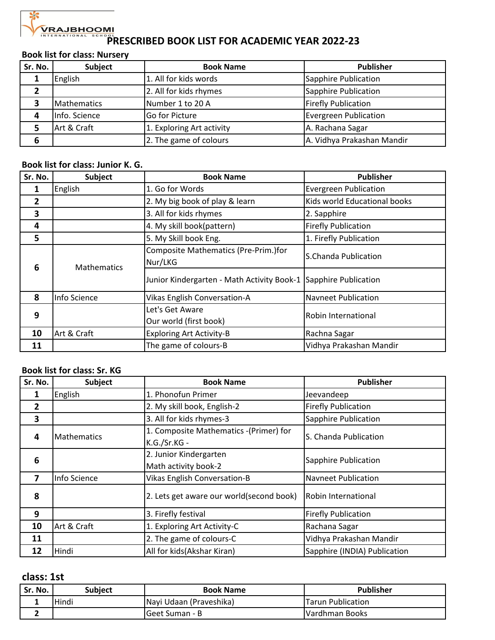## $\propto$

# **PRAJBHOOM!**<br>PRESCRIBED BOOK LIST FOR ACADEMIC YEAR 2022-23

#### **Book list for class: Nursery**

| Sr. No. | Subject       | <b>Book Name</b>          | <b>Publisher</b>             |
|---------|---------------|---------------------------|------------------------------|
|         | English       | 1. All for kids words     | Sapphire Publication         |
|         |               | 2. All for kids rhymes    | Sapphire Publication         |
|         | Mathematics   | Number 1 to 20 A          | <b>Firefly Publication</b>   |
|         | Info. Science | <b>Go for Picture</b>     | <b>Evergreen Publication</b> |
|         | Art & Craft   | 1. Exploring Art activity | A. Rachana Sagar             |
| 6       |               | 2. The game of colours    | A. Vidhya Prakashan Mandir   |

#### **Book list for class: Junior K. G.**

| Sr. No.        | Subject            | <b>Book Name</b>                                                | <b>Publisher</b>             |
|----------------|--------------------|-----------------------------------------------------------------|------------------------------|
|                | English            | 1. Go for Words                                                 | <b>Evergreen Publication</b> |
| $\overline{2}$ |                    | 2. My big book of play & learn                                  | Kids world Educational books |
| 3              |                    | 3. All for kids rhymes                                          | 2. Sapphire                  |
| 4              |                    | 4. My skill book(pattern)                                       | <b>Firefly Publication</b>   |
| 5              |                    | 5. My Skill book Eng.                                           | 1. Firefly Publication       |
| 6              | <b>Mathematics</b> | Composite Mathematics (Pre-Prim.)for<br>Nur/LKG                 | S.Chanda Publication         |
|                |                    | Junior Kindergarten - Math Activity Book-1 Sapphire Publication |                              |
| 8              | Info Science       | <b>Vikas English Conversation-A</b>                             | Navneet Publication          |
| 9              |                    | Let's Get Aware                                                 | Robin International          |
|                |                    | Our world (first book)                                          |                              |
| 10             | Art & Craft        | <b>Exploring Art Activity-B</b>                                 | Rachna Sagar                 |
| 11             |                    | The game of colours-B                                           | Vidhya Prakashan Mandir      |

#### **Book list for class: Sr. KG**

| Sr. No.        | Subject            | <b>Book Name</b>                                       | <b>Publisher</b>             |
|----------------|--------------------|--------------------------------------------------------|------------------------------|
|                | English            | 1. Phonofun Primer                                     | Jeevandeep                   |
| $\overline{2}$ |                    | 2. My skill book, English-2                            | <b>Firefly Publication</b>   |
| 3              |                    | 3. All for kids rhymes-3                               | Sapphire Publication         |
| 4              | <b>Mathematics</b> | 1. Composite Mathematics -(Primer) for<br>K.G./Sr.KG - | S. Chanda Publication        |
| 6              |                    | 2. Junior Kindergarten<br>Math activity book-2         | Sapphire Publication         |
| 7              | Info Science       | <b>Vikas English Conversation-B</b>                    | Navneet Publication          |
| 8              |                    | 2. Lets get aware our world(second book)               | Robin International          |
| 9              |                    | 3. Firefly festival                                    | <b>Firefly Publication</b>   |
| 10             | Art & Craft        | 1. Exploring Art Activity-C                            | Rachana Sagar                |
| 11             |                    | 2. The game of colours-C                               | Vidhya Prakashan Mandir      |
| 12             | <b>Hindi</b>       | All for kids(Akshar Kiran)                             | Sapphire (INDIA) Publication |

#### **class: 1st**

| Sr. No. | <b>Subject</b> | <b>Book Name</b>         | <b>Publisher</b>         |
|---------|----------------|--------------------------|--------------------------|
|         | lHindi         | INavi Udaan (Praveshika) | <b>Tarun Publication</b> |
|         |                | IGeet Suman - B          | IVardhman Books          |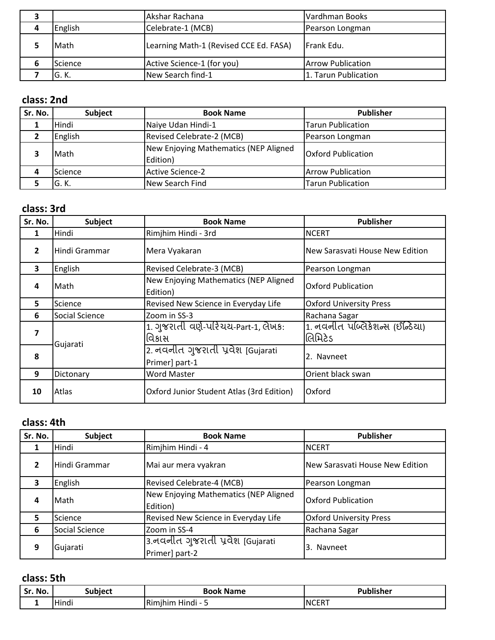|   |         | Akshar Rachana                         | Vardhman Books           |
|---|---------|----------------------------------------|--------------------------|
| 4 | English | Celebrate-1 (MCB)                      | Pearson Longman          |
|   | Math    | Learning Math-1 (Revised CCE Ed. FASA) | IFrank Edu.              |
| ь | Science | Active Science-1 (for you)             | <b>Arrow Publication</b> |
|   | G. K.   | New Search find-1                      | 1. Tarun Publication     |

## **class: 2nd**

| Sr. No. | <b>Subject</b> | <b>Book Name</b>                                  | <b>Publisher</b>          |
|---------|----------------|---------------------------------------------------|---------------------------|
|         | Hindi          | Naiye Udan Hindi-1                                | <b>Tarun Publication</b>  |
|         | English        | Revised Celebrate-2 (MCB)                         | Pearson Longman           |
|         | Math           | New Enjoying Mathematics (NEP Aligned<br>Edition) | <b>Oxford Publication</b> |
| 4       | Science        | Active Science-2                                  | <b>Arrow Publication</b>  |
|         | G. K.          | New Search Find                                   | <b>Tarun Publication</b>  |

## **class: 3rd**

| Sr. No.        | <b>Subject</b> | <b>Book Name</b>                                    | <b>Publisher</b>                                 |
|----------------|----------------|-----------------------------------------------------|--------------------------------------------------|
| 1              | Hindi          | Rimjhim Hindi - 3rd                                 | <b>NCERT</b>                                     |
| $\overline{2}$ | Hindi Grammar  | Mera Vyakaran                                       | New Sarasvati House New Edition                  |
| 3              | English        | Revised Celebrate-3 (MCB)                           | Pearson Longman                                  |
| 4              | lMath          | New Enjoying Mathematics (NEP Aligned<br>Edition)   | <b>Oxford Publication</b>                        |
| 5              | Science        | Revised New Science in Everyday Life                | <b>Oxford University Press</b>                   |
| 6              | Social Science | Zoom in SS-3                                        | Rachana Sagar                                    |
| 7              | Gujarati       | 1. ગુજરાતી વર્ણ-પરિચય-Part-1, લેખક:<br>વિકાસ        | <u>1. નવનીત પબ્લિકેશન્સ (ઈન્ડિયા)</u><br>લિમિટેડ |
| 8              |                | 2. નવનીત ગુજરાતી પ્રવેશ બિujarati<br>Primer] part-1 | 2. Navneet                                       |
| 9              | Dictonary      | <b>Word Master</b>                                  | Orient black swan                                |
| 10             | lAtlas         | Oxford Junior Student Atlas (3rd Edition)           | Oxford                                           |

#### **class: 4th**

| Sr. No. | Subject        | <b>Book Name</b>                                   | <b>Publisher</b>                |
|---------|----------------|----------------------------------------------------|---------------------------------|
|         | Hindi          | Rimjhim Hindi - 4                                  | <b>NCERT</b>                    |
| 2       | Hindi Grammar  | Mai aur mera vyakran                               | New Sarasvati House New Edition |
| 3       | English        | Revised Celebrate-4 (MCB)                          | Pearson Longman                 |
| 4       | Math           | New Enjoying Mathematics (NEP Aligned<br>Edition)  | <b>Oxford Publication</b>       |
| 5.      | Science        | Revised New Science in Everyday Life               | <b>Oxford University Press</b>  |
| 6       | Social Science | Zoom in SS-4                                       | Rachana Sagar                   |
| 9       | Gujarati       | 3.નવનીત ગુજરાતી પ્રવેશ [Gujarati<br>Primer] part-2 | 3. Navneet                      |

#### **class: 5th**

| No.<br>۲r<br>IJ | ulhiar'.<br>.          | <b>Name</b><br>- Book                                     | . .<br>Publisher |
|-----------------|------------------------|-----------------------------------------------------------|------------------|
|                 | .<br>lındı<br>. .<br>- | IRim<br>. .<br>າເກາ<br><b>LUAN</b><br><b>n</b> iliul<br>ш | <b>NCERT</b>     |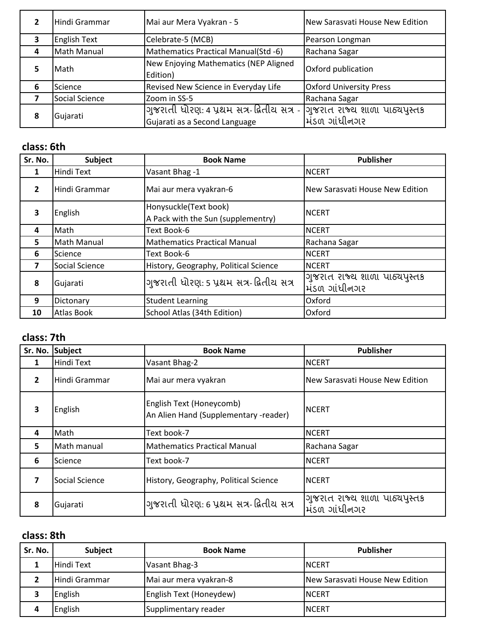|   | Hindi Grammar       | Mai aur Mera Vyakran - 5                                                   | New Sarasvati House New Edition                 |
|---|---------------------|----------------------------------------------------------------------------|-------------------------------------------------|
| 3 | <b>English Text</b> | Celebrate-5 (MCB)                                                          | Pearson Longman                                 |
| 4 | Math Manual         | Mathematics Practical Manual(Std -6)                                       | Rachana Sagar                                   |
|   | Math                | New Enjoying Mathematics (NEP Aligned<br>Edition)                          | Oxford publication                              |
| 6 | Science             | Revised New Science in Everyday Life                                       | <b>Oxford University Press</b>                  |
|   | Social Science      | Zoom in SS-5                                                               | Rachana Sagar                                   |
| 8 | Gujarati            | ગુજરાતી ધોરણ: 4 પ્રથમ સત્ર-દ્વિતીય સત્ર -<br>Gujarati as a Second Language | ગુજરાત રાજ્ય શાળા પાઠ્યપુસ્તક<br>મિંડળ ગાંધીનગર |

## **class: 6th**

| Sr. No.        | Subject                | <b>Book Name</b>                                            | <b>Publisher</b>                               |
|----------------|------------------------|-------------------------------------------------------------|------------------------------------------------|
| 1              | Hindi Text             | Vasant Bhag -1                                              | <b>NCERT</b>                                   |
| $\overline{2}$ | <b>I</b> Hindi Grammar | Mai aur mera vyakran-6                                      | New Sarasvati House New Edition                |
| 3              | English                | Honysuckle(Text book)<br>A Pack with the Sun (supplementry) | <b>NCERT</b>                                   |
| 4              | <b>I</b> Math          | Text Book-6                                                 | <b>NCERT</b>                                   |
| 5              | Math Manual            | <b>Mathematics Practical Manual</b>                         | Rachana Sagar                                  |
| 6              | Science                | Text Book-6                                                 | <b>NCERT</b>                                   |
| 7              | <b>Social Science</b>  | History, Geography, Political Science                       | <b>NCERT</b>                                   |
| 8              | Gujarati               | ગુજરાતી ધોરણ: 5 પ્રથમ સત્ર-દ્વિતીય સત્ર                     | ગુજરાત રાજ્ય શાળા પાઠ્યપુસ્તક<br>મંડળ ગાંધીનગર |
| 9              | Dictonary              | <b>Student Learning</b>                                     | Oxford                                         |
| 10             | Atlas Book             | School Atlas (34th Edition)                                 | Oxford                                         |

## **class: 7th**

| Sr. No.        | Subject           | <b>Book Name</b>                                                  | <b>Publisher</b>                               |
|----------------|-------------------|-------------------------------------------------------------------|------------------------------------------------|
| 1              | <b>Hindi Text</b> | Vasant Bhag-2                                                     | <b>NCERT</b>                                   |
| $\overline{2}$ | Hindi Grammar     | Mai aur mera vyakran                                              | New Sarasvati House New Edition                |
| 3              | English           | English Text (Honeycomb)<br>An Alien Hand (Supplementary -reader) | <b>NCERT</b>                                   |
| 4              | Math              | Text book-7                                                       | <b>NCERT</b>                                   |
| 5              | Math manual       | <b>Mathematics Practical Manual</b>                               | Rachana Sagar                                  |
| 6              | Science           | Text book-7                                                       | <b>NCERT</b>                                   |
| 7              | Social Science    | History, Geography, Political Science                             | <b>NCERT</b>                                   |
| 8              | Gujarati          | ગુજરાતી ધોરણ: 6 પ્રથમ સત્ર-દ્વિતીય સત્ર                           | ગુજરાત રાજ્ય શાળા પાઠ્યપુસ્તક<br>મંડળ ગાંધીનગર |

### **class: 8th**

| Sr. No. | <b>Subject</b> | <b>Book Name</b>        | <b>Publisher</b>                |
|---------|----------------|-------------------------|---------------------------------|
|         | Hindi Text     | Vasant Bhag-3           | <b>INCERT</b>                   |
|         | Hindi Grammar  | Mai aur mera vyakran-8  | New Sarasvati House New Edition |
|         | English        | English Text (Honeydew) | <b>INCERT</b>                   |
|         | English        | Supplimentary reader    | <b>NCERT</b>                    |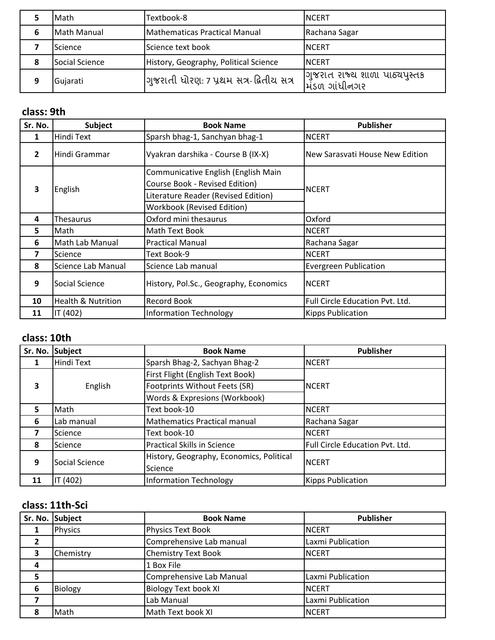|   | Math           | Textbook-8                              | <b>INCERT</b>                                 |
|---|----------------|-----------------------------------------|-----------------------------------------------|
| 6 | Math Manual    | Mathematicas Practical Manual           | Rachana Sagar                                 |
|   | Science        | Science text book                       | <b>INCERT</b>                                 |
| 8 | Social Science | History, Geography, Political Science   | <b>INCERT</b>                                 |
| 9 | Gujarati       | ગુજરાતી ધોરણ: 7 પ્રથમ સત્ર-દ્વિતીય સત્ર | गुणरात राज्य शाणा पाठ्यपस्त<br>મિંડળ ગાંધીનગર |

#### **class: 9th**

| Sr. No.                 | Subject                       | <b>Book Name</b>                                                                                                                                  | <b>Publisher</b>                |
|-------------------------|-------------------------------|---------------------------------------------------------------------------------------------------------------------------------------------------|---------------------------------|
| 1                       | Hindi Text                    | Sparsh bhag-1, Sanchyan bhag-1                                                                                                                    | <b>NCERT</b>                    |
| $\overline{2}$          | lHindi Grammar                | Vyakran darshika - Course B (IX-X)                                                                                                                | New Sarasvati House New Edition |
| $\overline{\mathbf{3}}$ | English                       | Communicative English (English Main<br>Course Book - Revised Edition)<br>Literature Reader (Revised Edition)<br><b>Workbook (Revised Edition)</b> | <b>NCERT</b>                    |
| 4                       | Thesaurus                     | Oxford mini thesaurus                                                                                                                             | Oxford                          |
| 5.                      | lMath                         | Math Text Book                                                                                                                                    | <b>NCERT</b>                    |
| 6                       | Math Lab Manual               | <b>Practical Manual</b>                                                                                                                           | Rachana Sagar                   |
| 7                       | Science                       | Text Book-9                                                                                                                                       | <b>NCERT</b>                    |
| 8                       | Science Lab Manual            | Science Lab manual                                                                                                                                | <b>Evergreen Publication</b>    |
| 9                       | Social Science                | History, Pol.Sc., Geography, Economics                                                                                                            | <b>NCERT</b>                    |
| 10                      | <b>Health &amp; Nutrition</b> | <b>Record Book</b>                                                                                                                                | Full Circle Education Pvt. Ltd. |
| 11                      | IT (402)                      | <b>Information Technology</b>                                                                                                                     | <b>Kipps Publication</b>        |

#### **class: 10th**

|    | Sr. No. Subject | <b>Book Name</b>                         | <b>Publisher</b>                |
|----|-----------------|------------------------------------------|---------------------------------|
| 1  | Hindi Text      | Sparsh Bhag-2, Sachyan Bhag-2            | <b>NCERT</b>                    |
|    | English         | First Flight (English Text Book)         | <b>NCERT</b>                    |
| 3  |                 | Footprints Without Feets (SR)            |                                 |
|    |                 | Words & Expresions (Workbook)            |                                 |
| 5  | Math            | Text book-10                             | <b>NCERT</b>                    |
| 6  | Lab manual      | <b>Mathematics Practical manual</b>      | Rachana Sagar                   |
| 7  | Science         | Text book-10                             | <b>NCERT</b>                    |
| 8  | Science         | <b>Practical Skills in Science</b>       | Full Circle Education Pvt. Ltd. |
| 9  | Social Science  | History, Geography, Economics, Political | <b>NCERT</b>                    |
|    |                 | Science                                  |                                 |
| 11 | IT (402)        | Information Technology                   | <b>Kipps Publication</b>        |

## **class: 11th-Sci**

|   | Sr. No. Subject | <b>Book Name</b>            | <b>Publisher</b>  |
|---|-----------------|-----------------------------|-------------------|
|   | Physics         | Physics Text Book           | <b>NCERT</b>      |
|   |                 | Comprehensive Lab manual    | Laxmi Publication |
|   | Chemistry       | <b>Chemistry Text Book</b>  | <b>NCERT</b>      |
| 4 |                 | 1 Box File                  |                   |
|   |                 | Comprehensive Lab Manual    | Laxmi Publication |
| 6 | Biology         | <b>Biology Text book XI</b> | <b>NCERT</b>      |
|   |                 | Lab Manual                  | Laxmi Publication |
| 8 | <b>Math</b>     | Math Text book XI           | <b>NCERT</b>      |